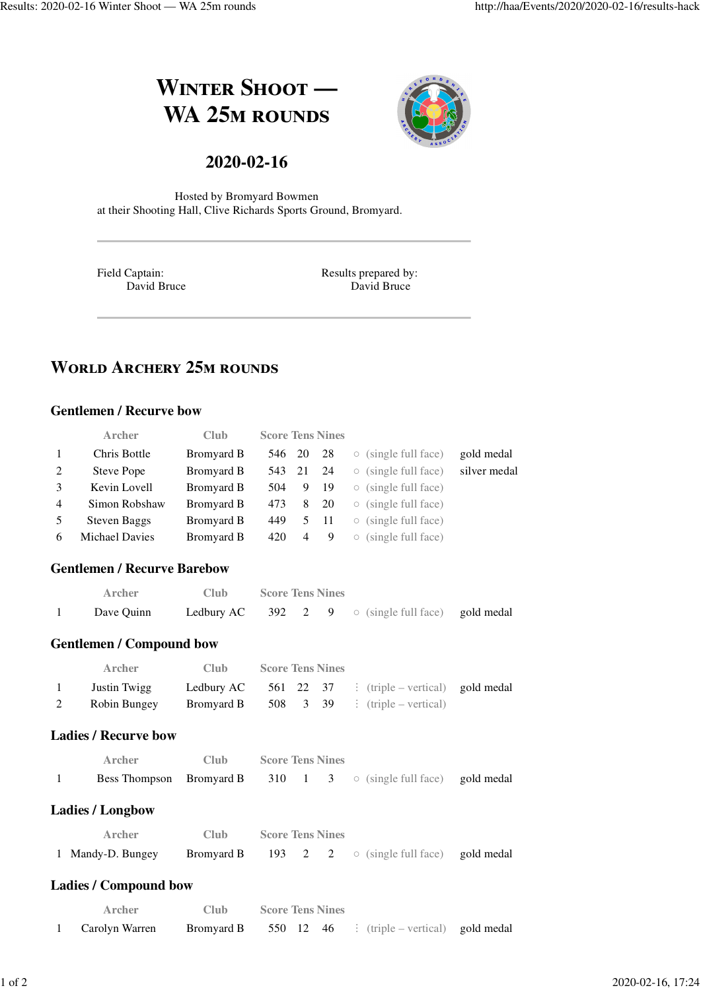# **WINTER SHOOT** — **WA 25M ROUNDS**



## **2020-02-16**

Hosted by Bromyard Bowmen at their Shooting Hall, Clive Richards Sports Ground, Bromyard.

Field Captain: David Bruce Results prepared by: David Bruce

# **WORLD ARCHERY 25M ROUNDS**

#### **Gentlemen / Recurve bow**

|                | <b>Archer</b>       | Club       | <b>Score Tens Nines</b> |                |      |                                           |              |
|----------------|---------------------|------------|-------------------------|----------------|------|-------------------------------------------|--------------|
| $\mathbf{1}$   | Chris Bottle        | Bromyard B | 546 20                  |                | -28  | $\circ$ (single full face)                | gold medal   |
| 2              | Steve Pope          | Bromyard B | 543 21                  |                | -24  | $\circ$ (single full face)                | silver medal |
| $\mathcal{E}$  | Kevin Lovell        | Bromyard B | 504                     | 9 19           |      | $\circ$ (single full face)                |              |
| $\overline{4}$ | Simon Robshaw       | Bromyard B | 473                     | - 8            | - 20 | $\circ$ (single full face)                |              |
| -5             | <b>Steven Baggs</b> | Bromyard B | 449                     |                | 5 11 | $\circ$ (single full face)                |              |
| 6              | Michael Davies      | Bromyard B | 420                     | $\overline{4}$ | 9    | (single full face)<br>$\circlearrowright$ |              |

#### **Gentlemen / Recurve Barebow**

| Archer     | Club - | <b>Score Tens Nines</b> |  |                                                                 |  |
|------------|--------|-------------------------|--|-----------------------------------------------------------------|--|
| Dave Ouinn |        |                         |  | <b>Ledbury AC</b> 392 2 9 $\circ$ (single full face) gold medal |  |

#### **Gentlemen / Compound bow**

|       | Archer       | Club.      | <b>Score Tens Nines</b> |  |                                                              |  |
|-------|--------------|------------|-------------------------|--|--------------------------------------------------------------|--|
| $\pm$ | Justin Twigg |            |                         |  | <b>Ledbury AC</b> 561 22 37 : (triple – vertical) gold medal |  |
| 2     | Robin Bungey | Bromyard B |                         |  | 508 $3\quad 39$ : (triple – vertical)                        |  |

#### **Ladies / Recurve bow**

| Archer | Club - | <b>Score Tens Nines</b> |  |                                                                               |  |
|--------|--------|-------------------------|--|-------------------------------------------------------------------------------|--|
|        |        |                         |  | <b>Bess Thompson</b> Bromyard B 310 1 3 $\circ$ (single full face) gold medal |  |

#### **Ladies / Longbow**

| Archer            | Club - | <b>Score Tens Nines</b> |  |                                                                 |  |
|-------------------|--------|-------------------------|--|-----------------------------------------------------------------|--|
| 1 Mandy-D. Bungey |        |                         |  | <b>Bromyard B</b> 193 2 2 $\circ$ (single full face) gold medal |  |

#### **Ladies / Compound bow**

| Archer         | Club- | <b>Score Tens Nines</b> |  |                                                              |  |
|----------------|-------|-------------------------|--|--------------------------------------------------------------|--|
| Carolyn Warren |       |                         |  | <b>Bromyard B</b> 550 12 46 : (triple – vertical) gold medal |  |